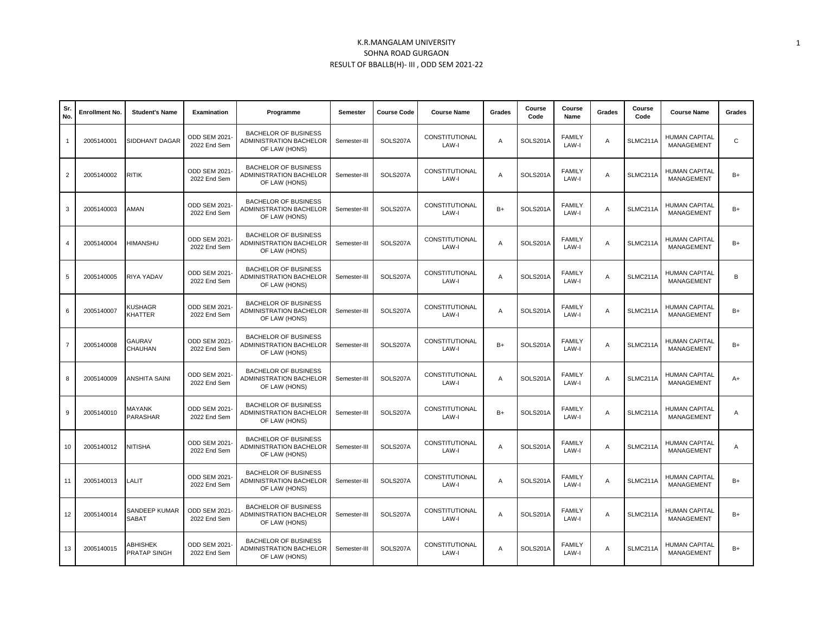| Sr.<br>No.     | Enrollment No. | <b>Student's Name</b>     | <b>Examination</b>                   | Programme                                                                      | Semester     | <b>Course Code</b> | <b>Course Name</b>      | Grades | Course<br>Code | Course<br>Name         | Grades | Course<br>Code  | <b>Course Name</b>                        | Grades |
|----------------|----------------|---------------------------|--------------------------------------|--------------------------------------------------------------------------------|--------------|--------------------|-------------------------|--------|----------------|------------------------|--------|-----------------|-------------------------------------------|--------|
| -1             | 2005140001     | SIDDHANT DAGAR            | ODD SEM 2021-<br>2022 End Sem        | <b>BACHELOR OF BUSINESS</b><br>ADMINISTRATION BACHELOR<br>OF LAW (HONS)        | Semester-III | SOLS207A           | CONSTITUTIONAL<br>LAW-I | Α      | SOLS201A       | <b>FAMILY</b><br>LAW-I | Α      | SLMC211A        | <b>HUMAN CAPITAL</b><br><b>MANAGEMENT</b> | C      |
| $\overline{2}$ | 2005140002     | <b>RITIK</b>              | ODD SEM 2021-<br>2022 End Sem        | <b>BACHELOR OF BUSINESS</b><br>ADMINISTRATION BACHELOR<br>OF LAW (HONS)        | Semester-III | SOLS207A           | CONSTITUTIONAL<br>LAW-I | Α      | SOLS201A       | <b>FAMILY</b><br>LAW-I | Α      | <b>SLMC211A</b> | HUMAN CAPITAL<br><b>MANAGEMENT</b>        | B+     |
| 3              | 2005140003     | AMAN                      | ODD SEM 2021-<br>2022 End Sem        | <b>BACHELOR OF BUSINESS</b><br>ADMINISTRATION BACHELOR<br>OF LAW (HONS)        | Semester-III | SOLS207A           | CONSTITUTIONAL<br>LAW-I | $B+$   | SOLS201A       | <b>FAMILY</b><br>LAW-I | Α      | SLMC211A        | <b>HUMAN CAPITAL</b><br>MANAGEMENT        | $B+$   |
| $\overline{4}$ | 2005140004     | HIMANSHU                  | ODD SEM 2021-<br>2022 End Sem        | <b>BACHELOR OF BUSINESS</b><br>ADMINISTRATION BACHELOR<br>OF LAW (HONS)        | Semester-III | SOLS207A           | CONSTITUTIONAL<br>LAW-I | Α      | SOLS201A       | <b>FAMILY</b><br>LAW-I | Α      | SLMC211A        | <b>HUMAN CAPITAL</b><br>MANAGEMENT        | $B+$   |
| 5              | 2005140005     | RIYA YADAV                | ODD SEM 2021-<br>2022 End Sem        | <b>BACHELOR OF BUSINESS</b><br>ADMINISTRATION BACHELOR<br>OF LAW (HONS)        | Semester-III | SOLS207A           | CONSTITUTIONAL<br>LAW-I | Α      | SOLS201A       | <b>FAMILY</b><br>LAW-I | A      | <b>SLMC211A</b> | <b>HUMAN CAPITAL</b><br><b>MANAGEMENT</b> | B      |
| 6              | 2005140007     | <b>KUSHAGR</b><br>KHATTER | ODD SEM 2021-<br>2022 End Sem        | <b>BACHELOR OF BUSINESS</b><br><b>ADMINISTRATION BACHELOR</b><br>OF LAW (HONS) | Semester-III | SOLS207A           | CONSTITUTIONAL<br>LAW-I | A      | SOLS201A       | <b>FAMILY</b><br>LAW-I | A      | SLMC211A        | <b>HUMAN CAPITAL</b><br><b>MANAGEMENT</b> | $B+$   |
| $\overline{7}$ | 2005140008     | <b>GAURAV</b><br>CHAUHAN  | <b>ODD SEM 2021-</b><br>2022 End Sem | <b>BACHELOR OF BUSINESS</b><br><b>ADMINISTRATION BACHELOR</b><br>OF LAW (HONS) | Semester-III | SOLS207A           | CONSTITUTIONAL<br>LAW-I | $B+$   | SOLS201A       | <b>FAMILY</b><br>LAW-I | A      | SLMC211A        | <b>HUMAN CAPITAL</b><br>MANAGEMENT        | $B+$   |
| 8              | 2005140009     | ANSHITA SAINI             | <b>ODD SEM 2021-</b><br>2022 End Sem | <b>BACHELOR OF BUSINESS</b><br>ADMINISTRATION BACHELOR<br>OF LAW (HONS)        | Semester-III | SOLS207A           | CONSTITUTIONAL<br>LAW-I | Α      | SOLS201A       | <b>FAMILY</b><br>LAW-I | Α      | SLMC211A        | <b>HUMAN CAPITAL</b><br><b>MANAGEMENT</b> | $A+$   |
| 9              | 2005140010     | MAYANK<br>PARASHAR        | <b>ODD SEM 2021-</b><br>2022 End Sem | <b>BACHELOR OF BUSINESS</b><br>ADMINISTRATION BACHELOR<br>OF LAW (HONS)        | Semester-III | SOLS207A           | CONSTITUTIONAL<br>LAW-I | $B+$   | SOLS201A       | <b>FAMILY</b><br>LAW-I | A      | SLMC211A        | <b>HUMAN CAPITAL</b><br><b>MANAGEMENT</b> | A      |
| 10             | 2005140012     | NITISHA                   | ODD SEM 2021-<br>2022 End Sem        | <b>BACHELOR OF BUSINESS</b><br><b>ADMINISTRATION BACHELOR</b><br>OF LAW (HONS) | Semester-III | SOLS207A           | CONSTITUTIONAL<br>LAW-I | A      | SOLS201A       | <b>FAMILY</b><br>LAW-I | Α      | SLMC211A        | <b>HUMAN CAPITAL</b><br><b>MANAGEMENT</b> | A      |
| 11             | 2005140013     | LALIT                     | ODD SEM 2021-<br>2022 End Sem        | <b>BACHELOR OF BUSINESS</b><br><b>ADMINISTRATION BACHELOR</b><br>OF LAW (HONS) | Semester-III | SOLS207A           | CONSTITUTIONAL<br>LAW-I | A      | SOLS201A       | <b>FAMILY</b><br>LAW-I | A      | SLMC211A        | <b>HUMAN CAPITAL</b><br>MANAGEMENT        | $B+$   |
| 12             | 2005140014     | SANDEEP KUMAR<br>SABAT    | ODD SEM 2021-<br>2022 End Sem        | <b>BACHELOR OF BUSINESS</b><br><b>ADMINISTRATION BACHELOR</b><br>OF LAW (HONS) | Semester-III | SOLS207A           | CONSTITUTIONAL<br>LAW-I | A      | SOLS201A       | <b>FAMILY</b><br>LAW-I | A      | SLMC211A        | <b>HUMAN CAPITAL</b><br><b>MANAGEMENT</b> | $B+$   |
| 13             | 2005140015     | ABHISHEK<br>PRATAP SINGH  | ODD SEM 2021-<br>2022 End Sem        | <b>BACHELOR OF BUSINESS</b><br>ADMINISTRATION BACHELOR<br>OF LAW (HONS)        | Semester-III | SOLS207A           | CONSTITUTIONAL<br>LAW-I | Α      | SOLS201A       | <b>FAMILY</b><br>LAW-I | A      | <b>SLMC211A</b> | HUMAN CAPITAL<br><b>MANAGEMENT</b>        | $B+$   |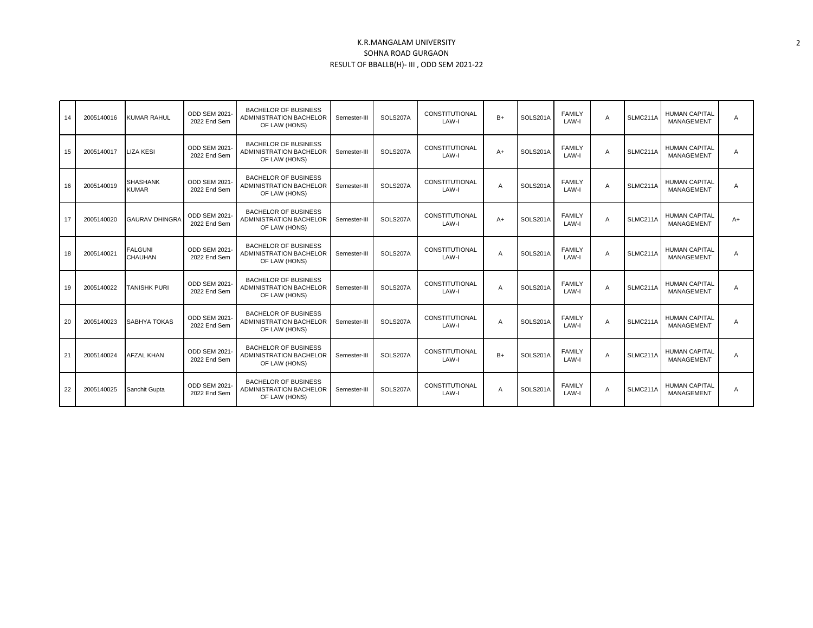| 14 | 2005140016 | <b>KUMAR RAHUL</b>               | <b>ODD SEM 2021-</b><br>2022 End Sem | <b>BACHELOR OF BUSINESS</b><br><b>ADMINISTRATION BACHELOR</b><br>OF LAW (HONS) | Semester-III | SOLS207A | CONSTITUTIONAL<br>LAW-I | $B+$           | SOLS201A | <b>FAMILY</b><br>LAW-I | A | SLMC211A | <b>HUMAN CAPITAL</b><br><b>MANAGEMENT</b> | A    |
|----|------------|----------------------------------|--------------------------------------|--------------------------------------------------------------------------------|--------------|----------|-------------------------|----------------|----------|------------------------|---|----------|-------------------------------------------|------|
| 15 | 2005140017 | <b>LIZA KESI</b>                 | <b>ODD SEM 2021-</b><br>2022 End Sem | BACHELOR OF BUSINESS<br><b>ADMINISTRATION BACHELOR</b><br>OF LAW (HONS)        | Semester-III | SOLS207A | CONSTITUTIONAL<br>LAW-I | $A+$           | SOLS201A | FAMILY<br>LAW-I        | A | SLMC211A | <b>HUMAN CAPITAL</b><br><b>MANAGEMENT</b> | A    |
| 16 | 2005140019 | <b>SHASHANK</b><br><b>KUMAR</b>  | ODD SEM 2021-<br>2022 End Sem        | <b>BACHELOR OF BUSINESS</b><br>ADMINISTRATION BACHELOR<br>OF LAW (HONS)        | Semester-III | SOLS207A | CONSTITUTIONAL<br>LAW-I | A              | SOLS201A | <b>FAMILY</b><br>LAW-I | A | SLMC211A | <b>HUMAN CAPITAL</b><br><b>MANAGEMENT</b> | A    |
| 17 | 2005140020 | <b>GAURAV DHINGRA</b>            | <b>ODD SEM 2021-</b><br>2022 End Sem | <b>BACHELOR OF BUSINESS</b><br><b>ADMINISTRATION BACHELOR</b><br>OF LAW (HONS) | Semester-III | SOLS207A | CONSTITUTIONAL<br>LAW-I | $A+$           | SOLS201A | <b>FAMILY</b><br>LAW-I | A | SLMC211A | <b>HUMAN CAPITAL</b><br><b>MANAGEMENT</b> | $A+$ |
| 18 | 2005140021 | <b>FALGUNI</b><br><b>CHAUHAN</b> | ODD SEM 2021-<br>2022 End Sem        | BACHELOR OF BUSINESS<br><b>ADMINISTRATION BACHELOR</b><br>OF LAW (HONS)        | Semester-III | SOLS207A | CONSTITUTIONAL<br>LAW-I | A              | SOLS201A | <b>FAMILY</b><br>LAW-I | A | SLMC211A | <b>HUMAN CAPITAL</b><br><b>MANAGEMENT</b> | A    |
| 19 | 2005140022 | TANISHK PURI                     | ODD SEM 2021-<br>2022 End Sem        | <b>BACHELOR OF BUSINESS</b><br><b>ADMINISTRATION BACHELOR</b><br>OF LAW (HONS) | Semester-III | SOLS207A | CONSTITUTIONAL<br>LAW-I | A              | SOLS201A | <b>FAMILY</b><br>LAW-I | A | SLMC211A | <b>HUMAN CAPITAL</b><br><b>MANAGEMENT</b> | A    |
| 20 | 2005140023 | SABHYA TOKAS                     | <b>ODD SEM 2021-</b><br>2022 End Sem | <b>BACHELOR OF BUSINESS</b><br><b>ADMINISTRATION BACHELOR</b><br>OF LAW (HONS) | Semester-III | SOLS207A | CONSTITUTIONAL<br>LAW-I | $\overline{A}$ | SOLS201A | <b>FAMILY</b><br>LAW-I | A | SLMC211A | <b>HUMAN CAPITAL</b><br><b>MANAGEMENT</b> | A    |
| 21 | 2005140024 | <b>AFZAL KHAN</b>                | ODD SEM 2021-<br>2022 End Sem        | BACHELOR OF BUSINESS<br>ADMINISTRATION BACHELOR<br>OF LAW (HONS)               | Semester-III | SOLS207A | CONSTITUTIONAL<br>LAW-I | $B+$           | SOLS201A | <b>FAMILY</b><br>LAW-I | A | SLMC211A | <b>HUMAN CAPITAL</b><br>MANAGEMENT        | A    |
| 22 | 2005140025 | Sanchit Gupta                    | <b>ODD SEM 2021-</b><br>2022 End Sem | <b>BACHELOR OF BUSINESS</b><br><b>ADMINISTRATION BACHELOR</b><br>OF LAW (HONS) | Semester-III | SOLS207A | CONSTITUTIONAL<br>LAW-I | A              | SOLS201A | <b>FAMILY</b><br>LAW-I | A | SLMC211A | <b>HUMAN CAPITAL</b><br><b>MANAGEMENT</b> | A    |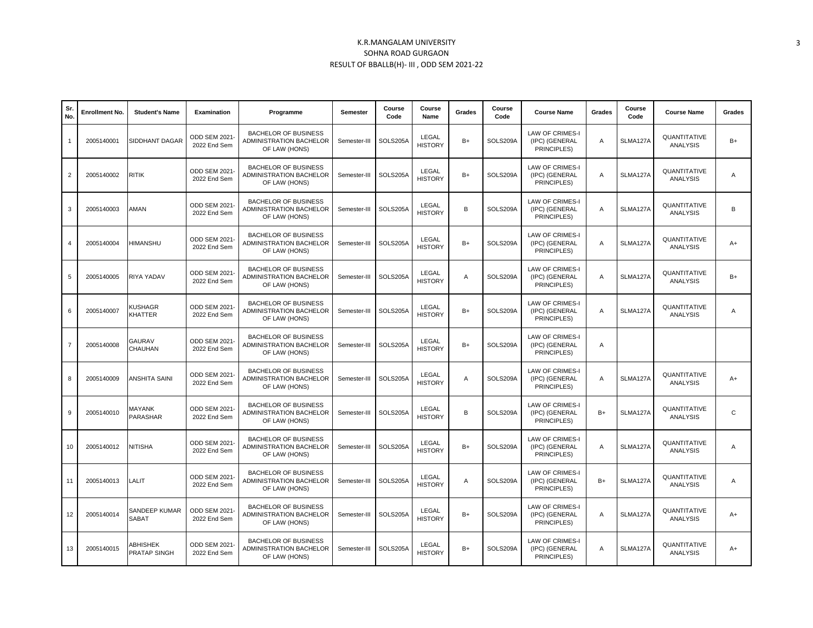| Sr.<br>No.     | Enrollment No. | <b>Student's Name</b>     | <b>Examination</b>                   | Programme                                                                      | <b>Semester</b> | Course<br>Code | Course<br>Name          | Grades | Course<br>Code | <b>Course Name</b>                                      | Grades | Course<br>Code | <b>Course Name</b>              | Grades       |
|----------------|----------------|---------------------------|--------------------------------------|--------------------------------------------------------------------------------|-----------------|----------------|-------------------------|--------|----------------|---------------------------------------------------------|--------|----------------|---------------------------------|--------------|
| -1             | 2005140001     | SIDDHANT DAGAR            | ODD SEM 2021<br>2022 End Sem         | <b>BACHELOR OF BUSINESS</b><br>ADMINISTRATION BACHELOR<br>OF LAW (HONS)        | Semester-III    | SOLS205A       | LEGAL<br><b>HISTORY</b> | $B+$   | SOLS209A       | <b>LAW OF CRIMES-I</b><br>(IPC) (GENERAL<br>PRINCIPLES) | Α      | SLMA127A       | QUANTITATIVE<br><b>ANALYSIS</b> | $B+$         |
| $\overline{2}$ | 2005140002     | RITIK                     | ODD SEM 2021-<br>2022 End Sem        | <b>BACHELOR OF BUSINESS</b><br>ADMINISTRATION BACHELOR<br>OF LAW (HONS)        | Semester-III    | SOLS205A       | LEGAL<br><b>HISTORY</b> | $B+$   | SOLS209A       | <b>LAW OF CRIMES-I</b><br>(IPC) (GENERAL<br>PRINCIPLES) | Α      | SLMA127A       | QUANTITATIVE<br><b>ANALYSIS</b> | A            |
| 3              | 2005140003     | AMAN                      | ODD SEM 2021<br>2022 End Sem         | <b>BACHELOR OF BUSINESS</b><br>ADMINISTRATION BACHELOR<br>OF LAW (HONS)        | Semester-III    | SOLS205A       | LEGAL<br><b>HISTORY</b> | B      | SOLS209A       | LAW OF CRIMES-I<br>(IPC) (GENERAL<br>PRINCIPLES)        | Α      | SLMA127A       | QUANTITATIVE<br><b>ANALYSIS</b> | B            |
| 4              | 2005140004     | HIMANSHU                  | ODD SEM 2021<br>2022 End Sem         | <b>BACHELOR OF BUSINESS</b><br><b>ADMINISTRATION BACHELOR</b><br>OF LAW (HONS) | Semester-III    | SOLS205A       | LEGAL<br><b>HISTORY</b> | $B+$   | SOLS209A       | <b>LAW OF CRIMES-I</b><br>(IPC) (GENERAL<br>PRINCIPLES) | A      | SLMA127A       | QUANTITATIVE<br><b>ANALYSIS</b> | $A+$         |
| 5              | 2005140005     | RIYA YADAV                | ODD SEM 2021<br>2022 End Sem         | <b>BACHELOR OF BUSINESS</b><br><b>ADMINISTRATION BACHELOR</b><br>OF LAW (HONS) | Semester-III    | SOLS205A       | LEGAL<br><b>HISTORY</b> | A      | SOLS209A       | LAW OF CRIMES-I<br>(IPC) (GENERAL<br>PRINCIPLES)        | Α      | SLMA127A       | QUANTITATIVE<br><b>ANALYSIS</b> | $B+$         |
| 6              | 2005140007     | <b>KUSHAGR</b><br>KHATTER | ODD SEM 2021-<br>2022 End Sem        | <b>BACHELOR OF BUSINESS</b><br>ADMINISTRATION BACHELOR<br>OF LAW (HONS)        | Semester-III    | SOLS205A       | LEGAL<br><b>HISTORY</b> | $B+$   | SOLS209A       | <b>LAW OF CRIMES-I</b><br>(IPC) (GENERAL<br>PRINCIPLES) | Α      | SLMA127A       | QUANTITATIVE<br><b>ANALYSIS</b> | Α            |
| $\overline{7}$ | 2005140008     | GAURAV<br>CHAUHAN         | ODD SEM 2021<br>2022 End Sem         | <b>BACHELOR OF BUSINESS</b><br>ADMINISTRATION BACHELOR<br>OF LAW (HONS)        | Semester-III    | SOLS205A       | LEGAL<br><b>HISTORY</b> | $B+$   | SOLS209A       | <b>LAW OF CRIMES-I</b><br>(IPC) (GENERAL<br>PRINCIPLES) | Α      |                |                                 |              |
| 8              | 2005140009     | ANSHITA SAINI             | ODD SEM 2021<br>2022 End Sem         | <b>BACHELOR OF BUSINESS</b><br>ADMINISTRATION BACHELOR<br>OF LAW (HONS)        | Semester-III    | SOLS205A       | LEGAL<br><b>HISTORY</b> | Α      | SOLS209A       | LAW OF CRIMES-I<br>(IPC) (GENERAL<br>PRINCIPLES)        | Α      | SLMA127A       | QUANTITATIVE<br>ANALYSIS        | $A+$         |
| 9              | 2005140010     | MAYANK<br>PARASHAR        | <b>ODD SEM 2021-</b><br>2022 End Sem | <b>BACHELOR OF BUSINESS</b><br><b>ADMINISTRATION BACHELOR</b><br>OF LAW (HONS) | Semester-III    | SOLS205A       | LEGAL<br><b>HISTORY</b> | B      | SOLS209A       | <b>LAW OF CRIMES-I</b><br>(IPC) (GENERAL<br>PRINCIPLES) | $B+$   | SLMA127A       | QUANTITATIVE<br><b>ANALYSIS</b> | $\mathsf{C}$ |
| 10             | 2005140012     | <b>NITISHA</b>            | <b>ODD SEM 2021</b><br>2022 End Sem  | <b>BACHELOR OF BUSINESS</b><br>ADMINISTRATION BACHELOR<br>OF LAW (HONS)        | Semester-III    | SOLS205A       | LEGAL<br><b>HISTORY</b> | $B+$   | SOLS209A       | LAW OF CRIMES-I<br>(IPC) (GENERAL<br>PRINCIPLES)        | Α      | SLMA127A       | QUANTITATIVE<br><b>ANALYSIS</b> | A            |
| 11             | 2005140013     | LALIT                     | ODD SEM 2021<br>2022 End Sem         | <b>BACHELOR OF BUSINESS</b><br>ADMINISTRATION BACHELOR<br>OF LAW (HONS)        | Semester-III    | SOLS205A       | LEGAL<br><b>HISTORY</b> | A      | SOLS209A       | <b>LAW OF CRIMES-I</b><br>(IPC) (GENERAL<br>PRINCIPLES) | $B+$   | SLMA127A       | QUANTITATIVE<br>ANALYSIS        | A            |
| 12             | 2005140014     | SANDEEP KUMAR<br>SABAT    | ODD SEM 2021<br>2022 End Sem         | <b>BACHELOR OF BUSINESS</b><br>ADMINISTRATION BACHELOR<br>OF LAW (HONS)        | Semester-III    | SOLS205A       | LEGAL<br><b>HISTORY</b> | $B+$   | SOLS209A       | <b>LAW OF CRIMES-I</b><br>(IPC) (GENERAL<br>PRINCIPLES) | A      | SLMA127A       | QUANTITATIVE<br>ANALYSIS        | $A+$         |
| 13             | 2005140015     | ABHISHEK<br>PRATAP SINGH  | ODD SEM 2021-<br>2022 End Sem        | <b>BACHELOR OF BUSINESS</b><br>ADMINISTRATION BACHELOR<br>OF LAW (HONS)        | Semester-III    | SOLS205A       | LEGAL<br><b>HISTORY</b> | $B+$   | SOLS209A       | LAW OF CRIMES-I<br>(IPC) (GENERAL<br>PRINCIPLES)        | Α      | SLMA127A       | QUANTITATIVE<br><b>ANALYSIS</b> | $A+$         |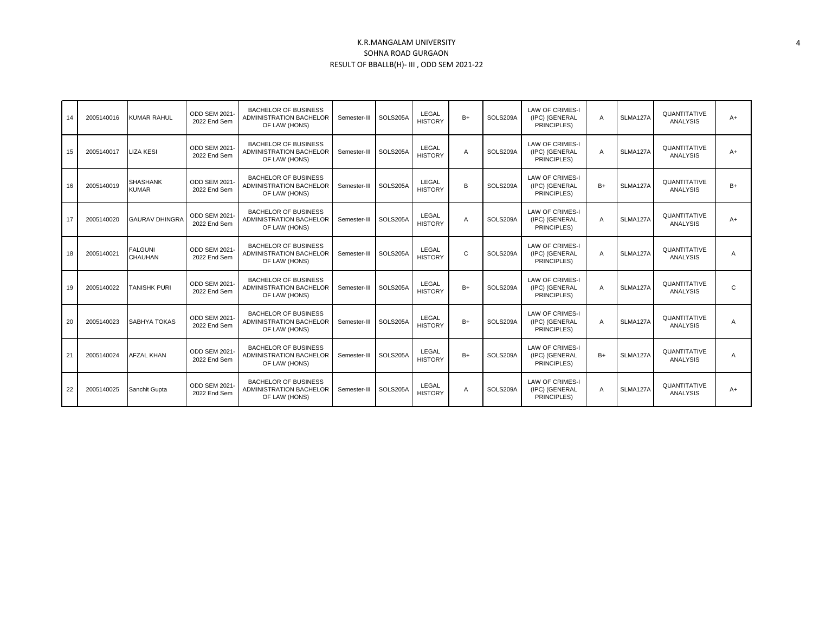| 14 | 2005140016 | KUMAR RAHUL                     | ODD SEM 2021-<br>2022 End Sem        | <b>BACHELOR OF BUSINESS</b><br><b>ADMINISTRATION BACHELOR</b><br>OF LAW (HONS) | Semester-III | SOLS205A | LEGAL<br><b>HISTORY</b> | $B+$         | SOLS209A | <b>LAW OF CRIMES-I</b><br>(IPC) (GENERAL<br>PRINCIPLES) | $\overline{A}$ | SLMA127A | QUANTITATIVE<br><b>ANALYSIS</b> | $A+$           |
|----|------------|---------------------------------|--------------------------------------|--------------------------------------------------------------------------------|--------------|----------|-------------------------|--------------|----------|---------------------------------------------------------|----------------|----------|---------------------------------|----------------|
| 15 | 2005140017 | <b>LIZA KESI</b>                | ODD SEM 2021-<br>2022 End Sem        | <b>BACHELOR OF BUSINESS</b><br><b>ADMINISTRATION BACHELOR</b><br>OF LAW (HONS) | Semester-III | SOLS205A | LEGAL<br><b>HISTORY</b> | A            | SOLS209A | <b>LAW OF CRIMES-I</b><br>(IPC) (GENERAL<br>PRINCIPLES) | $\overline{A}$ | SLMA127A | QUANTITATIVE<br><b>ANALYSIS</b> | $A+$           |
| 16 | 2005140019 | <b>SHASHANK</b><br><b>KUMAR</b> | ODD SEM 2021-<br>2022 End Sem        | <b>BACHELOR OF BUSINESS</b><br>ADMINISTRATION BACHELOR<br>OF LAW (HONS)        | Semester-III | SOLS205A | LEGAL<br><b>HISTORY</b> | B            | SOLS209A | <b>LAW OF CRIMES-I</b><br>(IPC) (GENERAL<br>PRINCIPLES) | $B+$           | SLMA127A | QUANTITATIVE<br><b>ANALYSIS</b> | $B+$           |
| 17 | 2005140020 | <b>GAURAV DHINGRA</b>           | <b>ODD SEM 2021-</b><br>2022 End Sem | <b>BACHELOR OF BUSINESS</b><br>ADMINISTRATION BACHELOR<br>OF LAW (HONS)        | Semester-III | SOLS205A | LEGAL<br><b>HISTORY</b> | A            | SOLS209A | <b>LAW OF CRIMES-I</b><br>(IPC) (GENERAL<br>PRINCIPLES) | $\overline{A}$ | SLMA127A | QUANTITATIVE<br><b>ANALYSIS</b> | $A+$           |
| 18 | 2005140021 | <b>FALGUNI</b><br>CHAUHAN       | ODD SEM 2021-<br>2022 End Sem        | <b>BACHELOR OF BUSINESS</b><br><b>ADMINISTRATION BACHELOR</b><br>OF LAW (HONS) | Semester-III | SOLS205A | LEGAL<br><b>HISTORY</b> | $\mathbf{C}$ | SOLS209A | <b>LAW OF CRIMES-I</b><br>(IPC) (GENERAL<br>PRINCIPLES) | $\overline{A}$ | SLMA127A | QUANTITATIVE<br><b>ANALYSIS</b> | $\overline{A}$ |
| 19 | 2005140022 | <b>TANISHK PURI</b>             | ODD SEM 2021-<br>2022 End Sem        | <b>BACHELOR OF BUSINESS</b><br><b>ADMINISTRATION BACHELOR</b><br>OF LAW (HONS) | Semester-III | SOLS205A | LEGAL<br><b>HISTORY</b> | $B+$         | SOLS209A | <b>LAW OF CRIMES-I</b><br>(IPC) (GENERAL<br>PRINCIPLES) | $\overline{A}$ | SLMA127A | QUANTITATIVE<br><b>ANALYSIS</b> | $\mathsf{C}$   |
| 20 | 2005140023 | SABHYA TOKAS                    | ODD SEM 2021-<br>2022 End Sem        | <b>BACHELOR OF BUSINESS</b><br><b>ADMINISTRATION BACHELOR</b><br>OF LAW (HONS) | Semester-III | SOLS205A | LEGAL<br><b>HISTORY</b> | $B+$         | SOLS209A | <b>LAW OF CRIMES-I</b><br>(IPC) (GENERAL<br>PRINCIPLES) | $\overline{A}$ | SLMA127A | QUANTITATIVE<br><b>ANALYSIS</b> | $\overline{A}$ |
| 21 | 2005140024 | <b>AFZAL KHAN</b>               | ODD SEM 2021-<br>2022 End Sem        | <b>BACHELOR OF BUSINESS</b><br><b>ADMINISTRATION BACHELOR</b><br>OF LAW (HONS) | Semester-III | SOLS205A | LEGAL<br><b>HISTORY</b> | $B+$         | SOLS209A | <b>LAW OF CRIMES-I</b><br>(IPC) (GENERAL<br>PRINCIPLES) | $B+$           | SLMA127A | QUANTITATIVE<br><b>ANALYSIS</b> | $\overline{A}$ |
| 22 | 2005140025 | Sanchit Gupta                   | ODD SEM 2021-<br>2022 End Sem        | <b>BACHELOR OF BUSINESS</b><br><b>ADMINISTRATION BACHELOR</b><br>OF LAW (HONS) | Semester-III | SOLS205A | LEGAL<br><b>HISTORY</b> | A            | SOLS209A | <b>LAW OF CRIMES-I</b><br>(IPC) (GENERAL<br>PRINCIPLES) | $\overline{A}$ | SLMA127A | QUANTITATIVE<br>ANALYSIS        | $A+$           |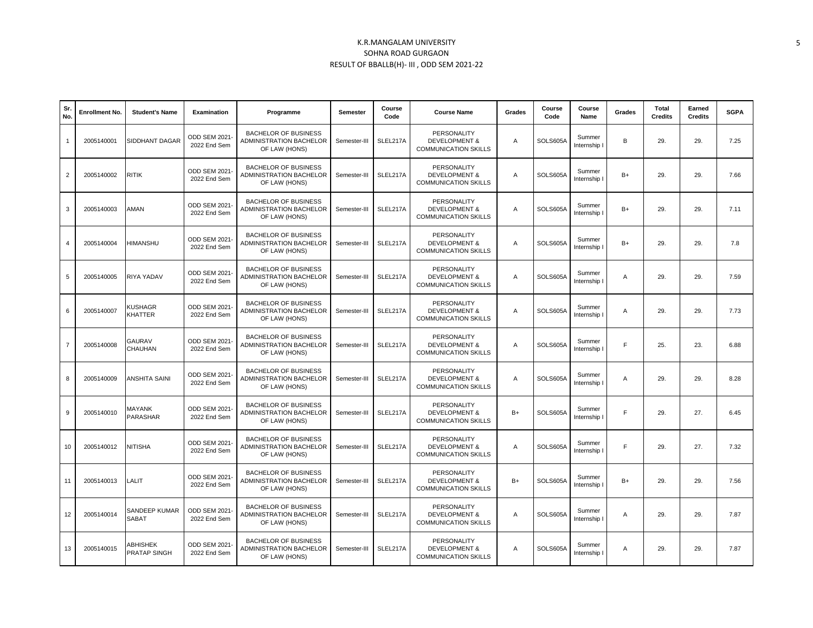| Sr.<br>No.     | <b>Enrollment No.</b> | <b>Student's Name</b>           | <b>Examination</b>            | Programme                                                                      | Semester     | Course<br>Code | <b>Course Name</b>                                                     | Grades | Course<br>Code | Course<br>Name         | Grades         | <b>Total</b><br><b>Credits</b> | Earned<br><b>Credits</b> | <b>SGPA</b> |
|----------------|-----------------------|---------------------------------|-------------------------------|--------------------------------------------------------------------------------|--------------|----------------|------------------------------------------------------------------------|--------|----------------|------------------------|----------------|--------------------------------|--------------------------|-------------|
| $\mathbf{1}$   | 2005140001            | SIDDHANT DAGAR                  | ODD SEM 2021-<br>2022 End Sem | <b>BACHELOR OF BUSINESS</b><br><b>ADMINISTRATION BACHELOR</b><br>OF LAW (HONS) | Semester-III | SLEL217A       | PERSONALITY<br><b>DEVELOPMENT &amp;</b><br><b>COMMUNICATION SKILLS</b> | Α      | SOLS605A       | Summer<br>Internship I | B              | 29.                            | 29.                      | 7.25        |
| $\overline{2}$ | 2005140002            | RITIK                           | ODD SEM 2021-<br>2022 End Sem | <b>BACHELOR OF BUSINESS</b><br>ADMINISTRATION BACHELOR<br>OF LAW (HONS)        | Semester-III | SLEL217A       | PERSONALITY<br><b>DEVELOPMENT &amp;</b><br><b>COMMUNICATION SKILLS</b> | A      | SOLS605A       | Summer<br>Internship I | $B+$           | 29.                            | 29.                      | 7.66        |
| 3              | 2005140003            | AMAN                            | ODD SEM 2021-<br>2022 End Sem | <b>BACHELOR OF BUSINESS</b><br><b>ADMINISTRATION BACHELOR</b><br>OF LAW (HONS) | Semester-III | SLEL217A       | PERSONALITY<br><b>DEVELOPMENT &amp;</b><br><b>COMMUNICATION SKILLS</b> | Α      | SOLS605A       | Summer<br>Internship I | $B+$           | 29.                            | 29.                      | 7.11        |
| 4              | 2005140004            | UHZMANH                         | ODD SEM 2021-<br>2022 End Sem | <b>BACHELOR OF BUSINESS</b><br>ADMINISTRATION BACHELOR<br>OF LAW (HONS)        | Semester-III | SLEL217A       | PERSONALITY<br><b>DEVELOPMENT &amp;</b><br><b>COMMUNICATION SKILLS</b> | Α      | SOLS605A       | Summer<br>Internship I | $B+$           | 29.                            | 29.                      | 7.8         |
| 5              | 2005140005            | RIYA YADAV                      | ODD SEM 2021-<br>2022 End Sem | <b>BACHELOR OF BUSINESS</b><br><b>ADMINISTRATION BACHELOR</b><br>OF LAW (HONS) | Semester-III | SLEL217A       | PERSONALITY<br><b>DEVELOPMENT &amp;</b><br><b>COMMUNICATION SKILLS</b> | Α      | SOLS605A       | Summer<br>Internship I | $\overline{A}$ | 29.                            | 29.                      | 7.59        |
| 6              | 2005140007            | KUSHAGR<br>KHATTER              | ODD SEM 2021-<br>2022 End Sem | <b>BACHELOR OF BUSINESS</b><br>ADMINISTRATION BACHELOR<br>OF LAW (HONS)        | Semester-III | SLEL217A       | PERSONALITY<br><b>DEVELOPMENT &amp;</b><br><b>COMMUNICATION SKILLS</b> | Α      | SOLS605A       | Summer<br>Internship I | $\overline{A}$ | 29.                            | 29.                      | 7.73        |
| $\overline{7}$ | 2005140008            | <b>GAURAV</b><br>CHAUHAN        | ODD SEM 2021-<br>2022 End Sem | <b>BACHELOR OF BUSINESS</b><br>ADMINISTRATION BACHELOR<br>OF LAW (HONS)        | Semester-III | SLEL217A       | PERSONALITY<br><b>DEVELOPMENT &amp;</b><br><b>COMMUNICATION SKILLS</b> | Α      | SOLS605A       | Summer<br>Internship I | F              | 25.                            | 23.                      | 6.88        |
| 8              | 2005140009            | <b>ANSHITA SAINI</b>            | ODD SEM 2021-<br>2022 End Sem | <b>BACHELOR OF BUSINESS</b><br>ADMINISTRATION BACHELOR<br>OF LAW (HONS)        | Semester-III | SLEL217A       | PERSONALITY<br><b>DEVELOPMENT &amp;</b><br><b>COMMUNICATION SKILLS</b> | A      | SOLS605A       | Summer<br>Internship I | $\overline{A}$ | 29.                            | 29.                      | 8.28        |
| 9              | 2005140010            | <b>MAYANK</b><br>PARASHAR       | ODD SEM 2021-<br>2022 End Sem | <b>BACHELOR OF BUSINESS</b><br><b>ADMINISTRATION BACHELOR</b><br>OF LAW (HONS) | Semester-III | SLEL217A       | PERSONALITY<br><b>DEVELOPMENT &amp;</b><br><b>COMMUNICATION SKILLS</b> | $B+$   | SOLS605A       | Summer<br>Internship I | F              | 29.                            | 27.                      | 6.45        |
| 10             | 2005140012            | <b>NITISHA</b>                  | ODD SEM 2021-<br>2022 End Sem | <b>BACHELOR OF BUSINESS</b><br>ADMINISTRATION BACHELOR<br>OF LAW (HONS)        | Semester-III | SLEL217A       | PERSONALITY<br><b>DEVELOPMENT &amp;</b><br><b>COMMUNICATION SKILLS</b> | Α      | SOLS605A       | Summer<br>Internship I | F              | 29.                            | 27.                      | 7.32        |
| 11             | 2005140013            | LALIT                           | ODD SEM 2021-<br>2022 End Sem | <b>BACHELOR OF BUSINESS</b><br>ADMINISTRATION BACHELOR<br>OF LAW (HONS)        | Semester-III | SLEL217A       | PERSONALITY<br><b>DEVELOPMENT &amp;</b><br><b>COMMUNICATION SKILLS</b> | $B+$   | SOLS605A       | Summer<br>Internship I | $B+$           | 29.                            | 29.                      | 7.56        |
| 12             | 2005140014            | SANDEEP KUMAR<br><b>SABAT</b>   | ODD SEM 2021-<br>2022 End Sem | <b>BACHELOR OF BUSINESS</b><br>ADMINISTRATION BACHELOR<br>OF LAW (HONS)        | Semester-III | SLEL217A       | PERSONALITY<br><b>DEVELOPMENT &amp;</b><br><b>COMMUNICATION SKILLS</b> | Α      | SOLS605A       | Summer<br>Internship I | $\overline{A}$ | 29.                            | 29.                      | 7.87        |
| 13             | 2005140015            | <b>ABHISHEK</b><br>PRATAP SINGH | ODD SEM 2021-<br>2022 End Sem | <b>BACHELOR OF BUSINESS</b><br>ADMINISTRATION BACHELOR<br>OF LAW (HONS)        | Semester-III | SLEL217A       | PERSONALITY<br><b>DEVELOPMENT &amp;</b><br><b>COMMUNICATION SKILLS</b> | A      | SOLS605A       | Summer<br>Internship I | $\mathsf{A}$   | 29.                            | 29.                      | 7.87        |